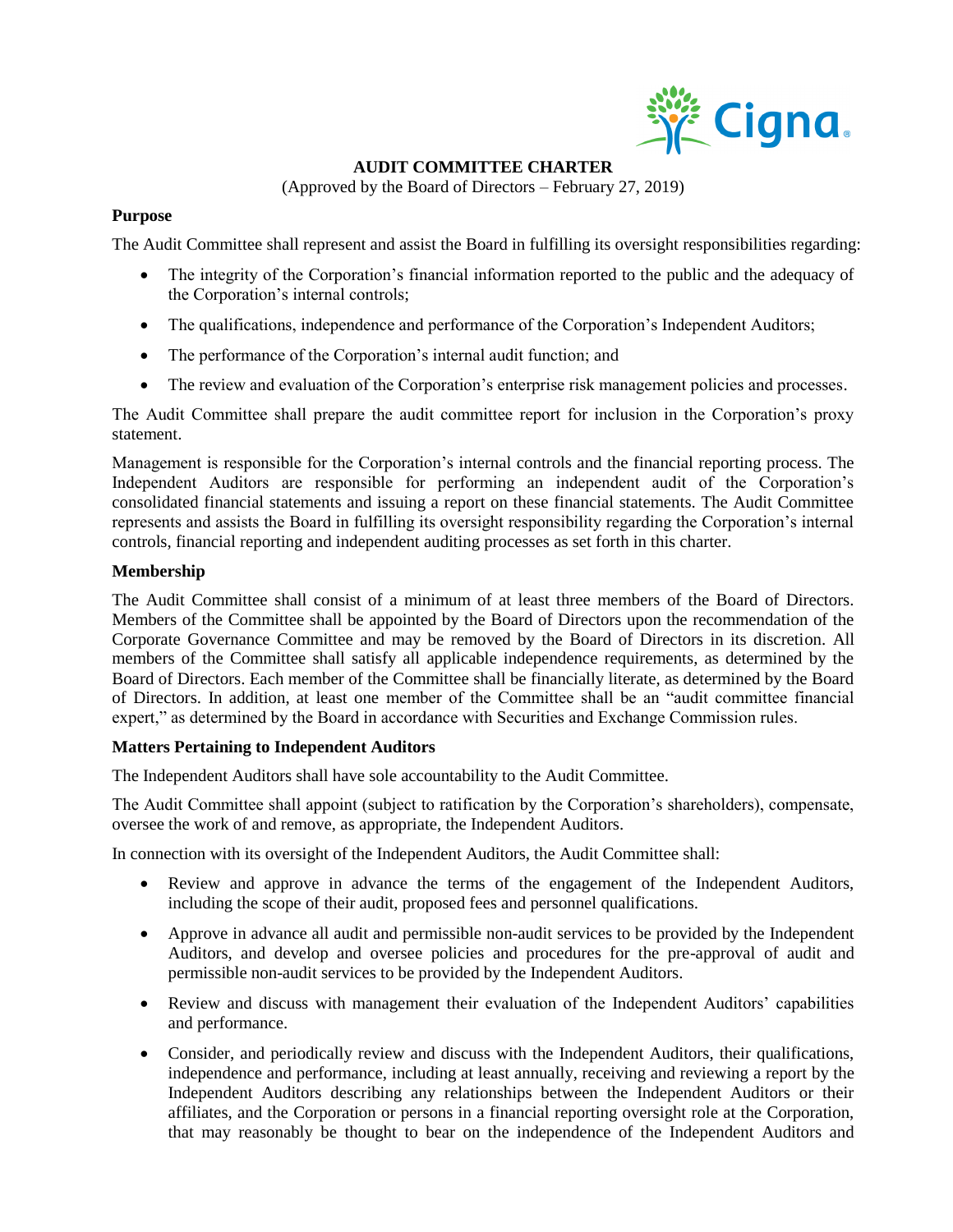

## **AUDIT COMMITTEE CHARTER**

(Approved by the Board of Directors – February 27, 2019)

#### **Purpose**

The Audit Committee shall represent and assist the Board in fulfilling its oversight responsibilities regarding:

- The integrity of the Corporation's financial information reported to the public and the adequacy of the Corporation's internal controls;
- The qualifications, independence and performance of the Corporation's Independent Auditors;
- The performance of the Corporation's internal audit function; and
- The review and evaluation of the Corporation's enterprise risk management policies and processes.

The Audit Committee shall prepare the audit committee report for inclusion in the Corporation's proxy statement.

Management is responsible for the Corporation's internal controls and the financial reporting process. The Independent Auditors are responsible for performing an independent audit of the Corporation's consolidated financial statements and issuing a report on these financial statements. The Audit Committee represents and assists the Board in fulfilling its oversight responsibility regarding the Corporation's internal controls, financial reporting and independent auditing processes as set forth in this charter.

#### **Membership**

The Audit Committee shall consist of a minimum of at least three members of the Board of Directors. Members of the Committee shall be appointed by the Board of Directors upon the recommendation of the Corporate Governance Committee and may be removed by the Board of Directors in its discretion. All members of the Committee shall satisfy all applicable independence requirements, as determined by the Board of Directors. Each member of the Committee shall be financially literate, as determined by the Board of Directors. In addition, at least one member of the Committee shall be an "audit committee financial expert," as determined by the Board in accordance with Securities and Exchange Commission rules.

#### **Matters Pertaining to Independent Auditors**

The Independent Auditors shall have sole accountability to the Audit Committee.

The Audit Committee shall appoint (subject to ratification by the Corporation's shareholders), compensate, oversee the work of and remove, as appropriate, the Independent Auditors.

In connection with its oversight of the Independent Auditors, the Audit Committee shall:

- Review and approve in advance the terms of the engagement of the Independent Auditors, including the scope of their audit, proposed fees and personnel qualifications.
- Approve in advance all audit and permissible non-audit services to be provided by the Independent Auditors, and develop and oversee policies and procedures for the pre-approval of audit and permissible non-audit services to be provided by the Independent Auditors.
- Review and discuss with management their evaluation of the Independent Auditors' capabilities and performance.
- Consider, and periodically review and discuss with the Independent Auditors, their qualifications, independence and performance, including at least annually, receiving and reviewing a report by the Independent Auditors describing any relationships between the Independent Auditors or their affiliates, and the Corporation or persons in a financial reporting oversight role at the Corporation, that may reasonably be thought to bear on the independence of the Independent Auditors and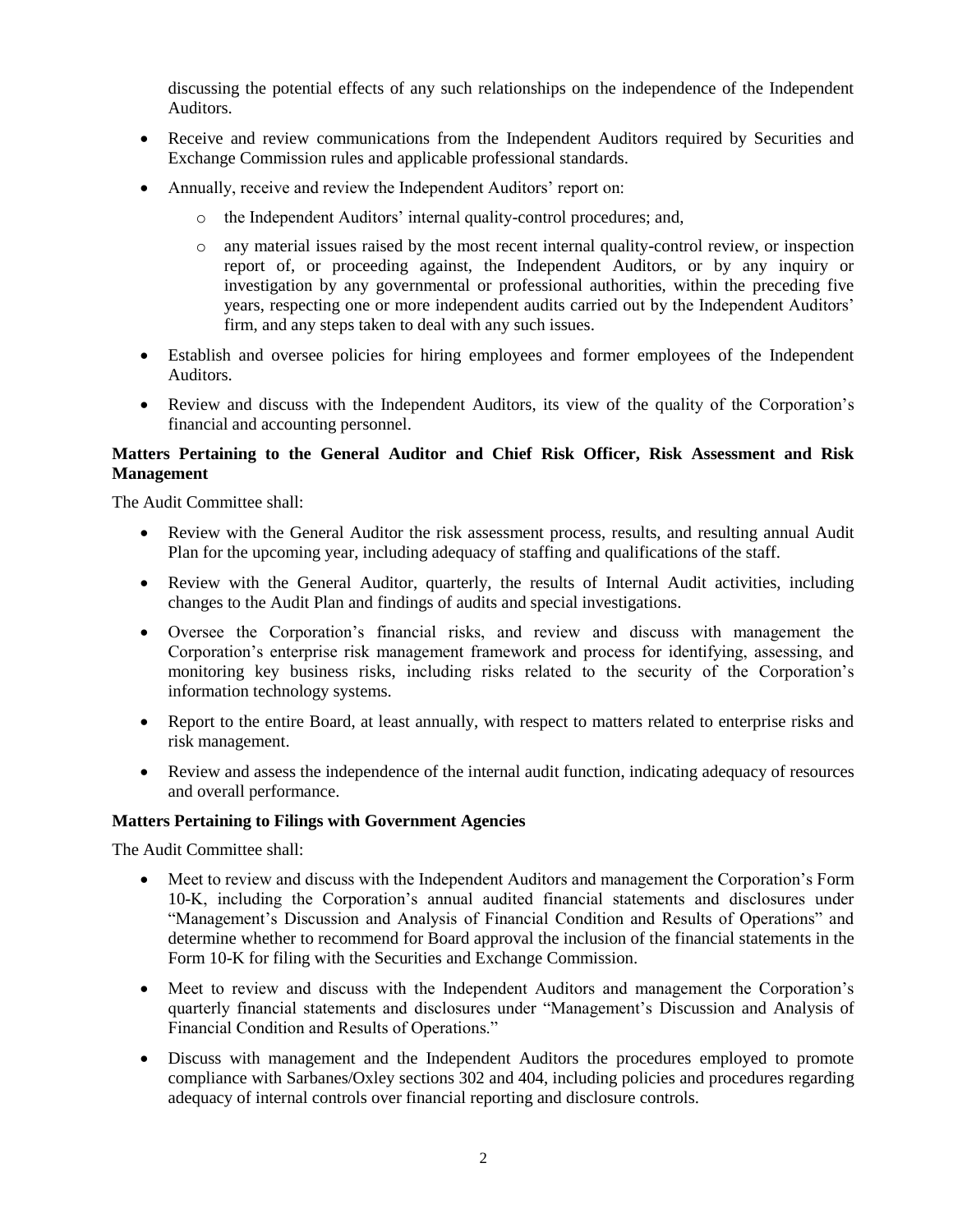discussing the potential effects of any such relationships on the independence of the Independent Auditors.

- Receive and review communications from the Independent Auditors required by Securities and Exchange Commission rules and applicable professional standards.
- Annually, receive and review the Independent Auditors' report on:
	- o the Independent Auditors' internal quality-control procedures; and,
	- o any material issues raised by the most recent internal quality-control review, or inspection report of, or proceeding against, the Independent Auditors, or by any inquiry or investigation by any governmental or professional authorities, within the preceding five years, respecting one or more independent audits carried out by the Independent Auditors' firm, and any steps taken to deal with any such issues.
- Establish and oversee policies for hiring employees and former employees of the Independent Auditors.
- Review and discuss with the Independent Auditors, its view of the quality of the Corporation's financial and accounting personnel.

# **Matters Pertaining to the General Auditor and Chief Risk Officer, Risk Assessment and Risk Management**

The Audit Committee shall:

- Review with the General Auditor the risk assessment process, results, and resulting annual Audit Plan for the upcoming year, including adequacy of staffing and qualifications of the staff.
- Review with the General Auditor, quarterly, the results of Internal Audit activities, including changes to the Audit Plan and findings of audits and special investigations.
- Oversee the Corporation's financial risks, and review and discuss with management the Corporation's enterprise risk management framework and process for identifying, assessing, and monitoring key business risks, including risks related to the security of the Corporation's information technology systems.
- Report to the entire Board, at least annually, with respect to matters related to enterprise risks and risk management.
- Review and assess the independence of the internal audit function, indicating adequacy of resources and overall performance.

#### **Matters Pertaining to Filings with Government Agencies**

The Audit Committee shall:

- Meet to review and discuss with the Independent Auditors and management the Corporation's Form 10-K, including the Corporation's annual audited financial statements and disclosures under "Management's Discussion and Analysis of Financial Condition and Results of Operations" and determine whether to recommend for Board approval the inclusion of the financial statements in the Form 10-K for filing with the Securities and Exchange Commission.
- Meet to review and discuss with the Independent Auditors and management the Corporation's quarterly financial statements and disclosures under "Management's Discussion and Analysis of Financial Condition and Results of Operations."
- Discuss with management and the Independent Auditors the procedures employed to promote compliance with Sarbanes/Oxley sections 302 and 404, including policies and procedures regarding adequacy of internal controls over financial reporting and disclosure controls.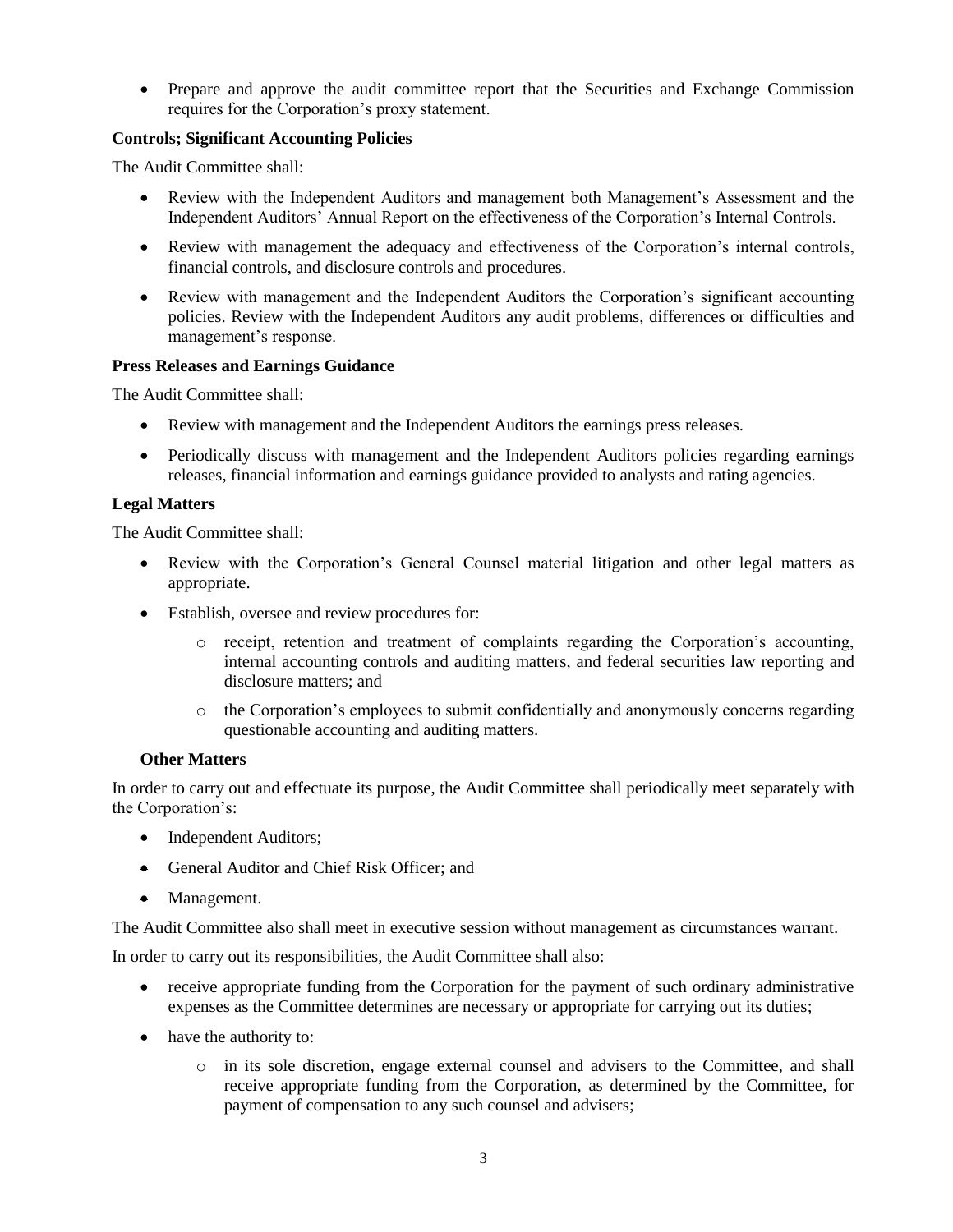• Prepare and approve the audit committee report that the Securities and Exchange Commission requires for the Corporation's proxy statement.

## **Controls; Significant Accounting Policies**

The Audit Committee shall:

- Review with the Independent Auditors and management both Management's Assessment and the Independent Auditors' Annual Report on the effectiveness of the Corporation's Internal Controls.
- Review with management the adequacy and effectiveness of the Corporation's internal controls, financial controls, and disclosure controls and procedures.
- Review with management and the Independent Auditors the Corporation's significant accounting policies. Review with the Independent Auditors any audit problems, differences or difficulties and management's response.

## **Press Releases and Earnings Guidance**

The Audit Committee shall:

- Review with management and the Independent Auditors the earnings press releases.
- Periodically discuss with management and the Independent Auditors policies regarding earnings releases, financial information and earnings guidance provided to analysts and rating agencies.

## **Legal Matters**

The Audit Committee shall:

- Review with the Corporation's General Counsel material litigation and other legal matters as appropriate.
- Establish, oversee and review procedures for:
	- o receipt, retention and treatment of complaints regarding the Corporation's accounting, internal accounting controls and auditing matters, and federal securities law reporting and disclosure matters; and
	- o the Corporation's employees to submit confidentially and anonymously concerns regarding questionable accounting and auditing matters.

#### **Other Matters**

In order to carry out and effectuate its purpose, the Audit Committee shall periodically meet separately with the Corporation's:

- Independent Auditors;
- General Auditor and Chief Risk Officer; and
- Management.

The Audit Committee also shall meet in executive session without management as circumstances warrant.

In order to carry out its responsibilities, the Audit Committee shall also:

- receive appropriate funding from the Corporation for the payment of such ordinary administrative expenses as the Committee determines are necessary or appropriate for carrying out its duties;
- have the authority to:
	- o in its sole discretion, engage external counsel and advisers to the Committee, and shall receive appropriate funding from the Corporation, as determined by the Committee, for payment of compensation to any such counsel and advisers;